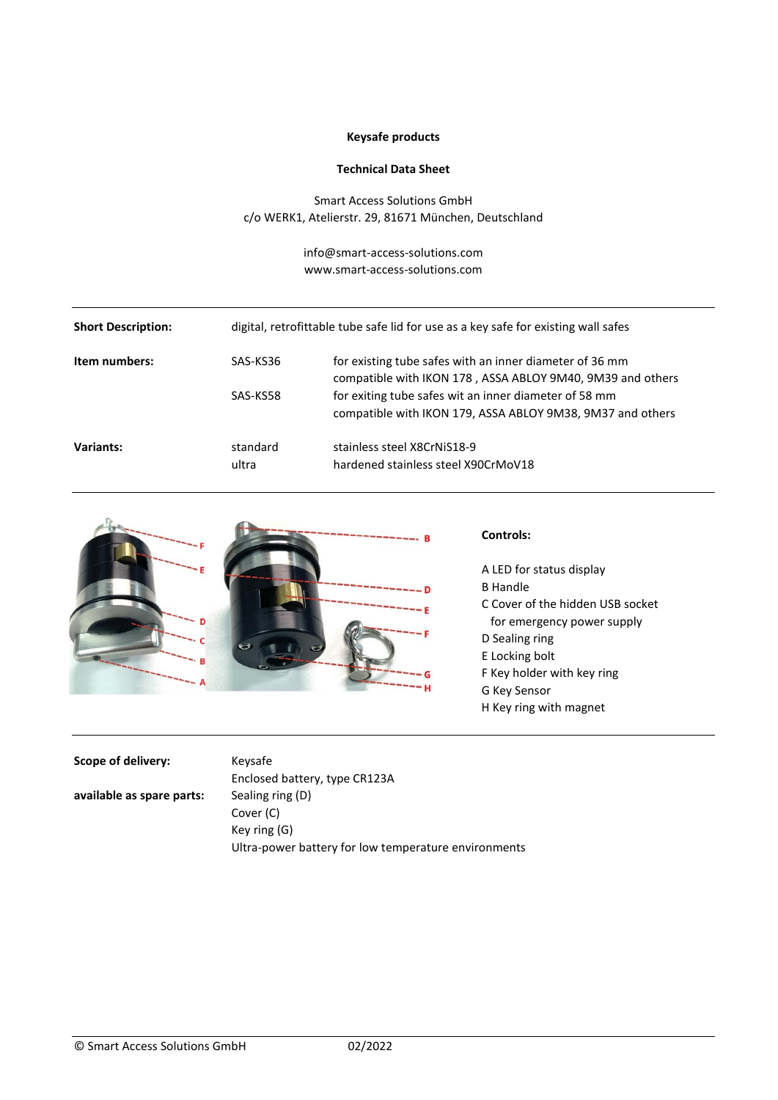# **Keysafe products**

#### **Technical Data Sheet**

Smart Access Solutions GmbH c/o WERK1, Atelierstr. 29, 81671 München, Deutschland

> info@smart-access-solutions.com www.smart-access-solutions.com

| <b>Short Description:</b> | digital, retrofittable tube safe lid for use as a key safe for existing wall safes |                                                                                                                                                                                                                                              |
|---------------------------|------------------------------------------------------------------------------------|----------------------------------------------------------------------------------------------------------------------------------------------------------------------------------------------------------------------------------------------|
| Item numbers:             | SAS-KS36<br>SAS-KS58                                                               | for existing tube safes with an inner diameter of 36 mm<br>compatible with IKON 178, ASSA ABLOY 9M40, 9M39 and others<br>for exiting tube safes wit an inner diameter of 58 mm<br>compatible with IKON 179, ASSA ABLOY 9M38, 9M37 and others |
| Variants:                 | standard<br>ultra                                                                  | stainless steel X8CrNiS18-9<br>hardened stainless steel X90CrMoV18                                                                                                                                                                           |



### **Controls:**

- A LED for status display B Handle C Cover of the hidden USB socket for emergency power supply D Sealing ring E Locking bolt F Key holder with key ring G Key Sensor
- H Key ring with magnet

#### **Scope of delivery:** Keysafe

Enclosed battery, type CR123A **available as spare parts:** Sealing ring (D) Cover (C) Key ring (G) Ultra-power battery for low temperature environments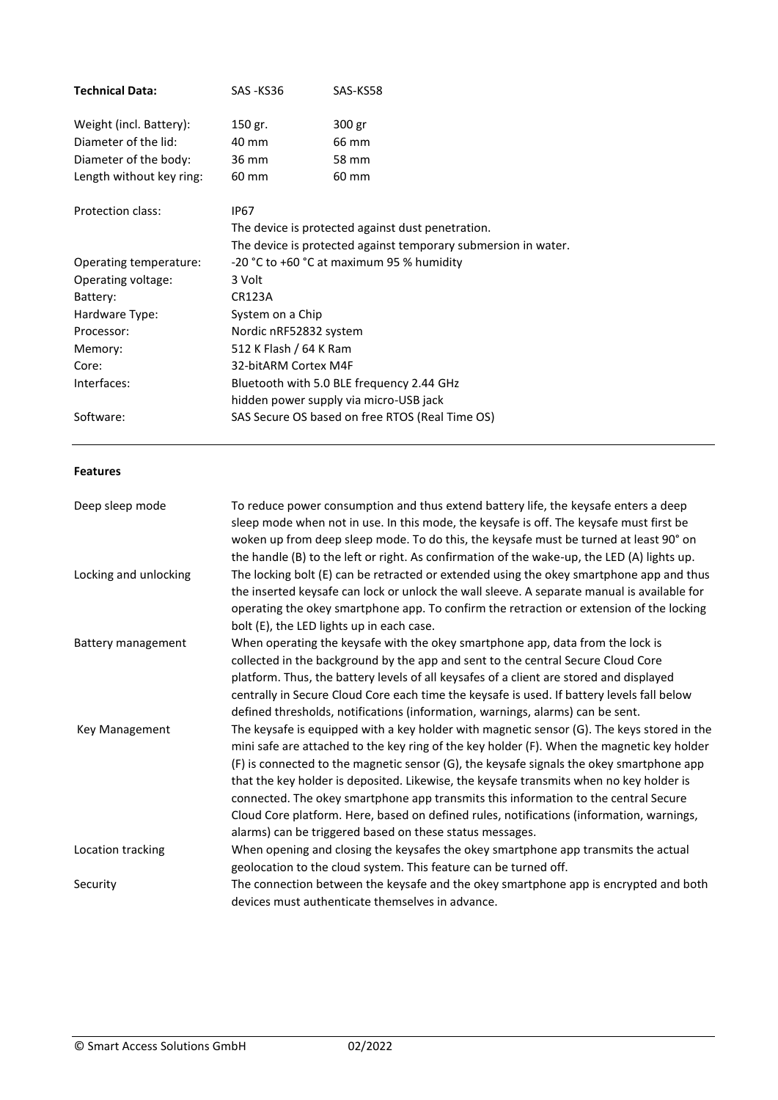| <b>Technical Data:</b>   | SAS-KS36         | SAS-KS58                                                                                                                                                                                                                                                                                                                                                                                                                                                                                                                                                                                                                       |  |  |  |
|--------------------------|------------------|--------------------------------------------------------------------------------------------------------------------------------------------------------------------------------------------------------------------------------------------------------------------------------------------------------------------------------------------------------------------------------------------------------------------------------------------------------------------------------------------------------------------------------------------------------------------------------------------------------------------------------|--|--|--|
|                          |                  |                                                                                                                                                                                                                                                                                                                                                                                                                                                                                                                                                                                                                                |  |  |  |
| Weight (incl. Battery):  | 150 gr.          | 300 gr                                                                                                                                                                                                                                                                                                                                                                                                                                                                                                                                                                                                                         |  |  |  |
| Diameter of the lid:     | 40 mm            | 66 mm                                                                                                                                                                                                                                                                                                                                                                                                                                                                                                                                                                                                                          |  |  |  |
| Diameter of the body:    | 36 mm            | 58 mm                                                                                                                                                                                                                                                                                                                                                                                                                                                                                                                                                                                                                          |  |  |  |
| Length without key ring: | 60 mm            | 60 mm                                                                                                                                                                                                                                                                                                                                                                                                                                                                                                                                                                                                                          |  |  |  |
| Protection class:        | <b>IP67</b>      |                                                                                                                                                                                                                                                                                                                                                                                                                                                                                                                                                                                                                                |  |  |  |
|                          |                  | The device is protected against dust penetration.                                                                                                                                                                                                                                                                                                                                                                                                                                                                                                                                                                              |  |  |  |
|                          |                  | The device is protected against temporary submersion in water.                                                                                                                                                                                                                                                                                                                                                                                                                                                                                                                                                                 |  |  |  |
| Operating temperature:   |                  | -20 °C to +60 °C at maximum 95 % humidity                                                                                                                                                                                                                                                                                                                                                                                                                                                                                                                                                                                      |  |  |  |
| Operating voltage:       | 3 Volt           |                                                                                                                                                                                                                                                                                                                                                                                                                                                                                                                                                                                                                                |  |  |  |
| Battery:                 | <b>CR123A</b>    |                                                                                                                                                                                                                                                                                                                                                                                                                                                                                                                                                                                                                                |  |  |  |
| Hardware Type:           | System on a Chip |                                                                                                                                                                                                                                                                                                                                                                                                                                                                                                                                                                                                                                |  |  |  |
| Processor:               |                  | Nordic nRF52832 system                                                                                                                                                                                                                                                                                                                                                                                                                                                                                                                                                                                                         |  |  |  |
| Memory:                  |                  | 512 K Flash / 64 K Ram                                                                                                                                                                                                                                                                                                                                                                                                                                                                                                                                                                                                         |  |  |  |
| Core:                    |                  | 32-bitARM Cortex M4F                                                                                                                                                                                                                                                                                                                                                                                                                                                                                                                                                                                                           |  |  |  |
| Interfaces:              |                  | Bluetooth with 5.0 BLE frequency 2.44 GHz                                                                                                                                                                                                                                                                                                                                                                                                                                                                                                                                                                                      |  |  |  |
|                          |                  | hidden power supply via micro-USB jack                                                                                                                                                                                                                                                                                                                                                                                                                                                                                                                                                                                         |  |  |  |
| Software:                |                  | SAS Secure OS based on free RTOS (Real Time OS)                                                                                                                                                                                                                                                                                                                                                                                                                                                                                                                                                                                |  |  |  |
| <b>Features</b>          |                  |                                                                                                                                                                                                                                                                                                                                                                                                                                                                                                                                                                                                                                |  |  |  |
| Deep sleep mode          |                  | To reduce power consumption and thus extend battery life, the keysafe enters a deep<br>sleep mode when not in use. In this mode, the keysafe is off. The keysafe must first be<br>woken up from deep sleep mode. To do this, the keysafe must be turned at least 90° on<br>the handle (B) to the left or right. As confirmation of the wake-up, the LED (A) lights up.                                                                                                                                                                                                                                                         |  |  |  |
| Locking and unlocking    |                  | The locking bolt (E) can be retracted or extended using the okey smartphone app and thus<br>the inserted keysafe can lock or unlock the wall sleeve. A separate manual is available for<br>operating the okey smartphone app. To confirm the retraction or extension of the locking<br>bolt (E), the LED lights up in each case.                                                                                                                                                                                                                                                                                               |  |  |  |
| Battery management       |                  | When operating the keysafe with the okey smartphone app, data from the lock is<br>collected in the background by the app and sent to the central Secure Cloud Core<br>platform. Thus, the battery levels of all keysafes of a client are stored and displayed<br>centrally in Secure Cloud Core each time the keysafe is used. If battery levels fall below<br>defined thresholds, notifications (information, warnings, alarms) can be sent.                                                                                                                                                                                  |  |  |  |
| Key Management           |                  | The keysafe is equipped with a key holder with magnetic sensor (G). The keys stored in the<br>mini safe are attached to the key ring of the key holder (F). When the magnetic key holder<br>(F) is connected to the magnetic sensor (G), the keysafe signals the okey smartphone app<br>that the key holder is deposited. Likewise, the keysafe transmits when no key holder is<br>connected. The okey smartphone app transmits this information to the central Secure<br>Cloud Core platform. Here, based on defined rules, notifications (information, warnings,<br>alarms) can be triggered based on these status messages. |  |  |  |
| Location tracking        |                  | When opening and closing the keysafes the okey smartphone app transmits the actual<br>geolocation to the cloud system. This feature can be turned off.                                                                                                                                                                                                                                                                                                                                                                                                                                                                         |  |  |  |
| Security                 |                  | The connection between the keysafe and the okey smartphone app is encrypted and both<br>devices must authenticate themselves in advance.                                                                                                                                                                                                                                                                                                                                                                                                                                                                                       |  |  |  |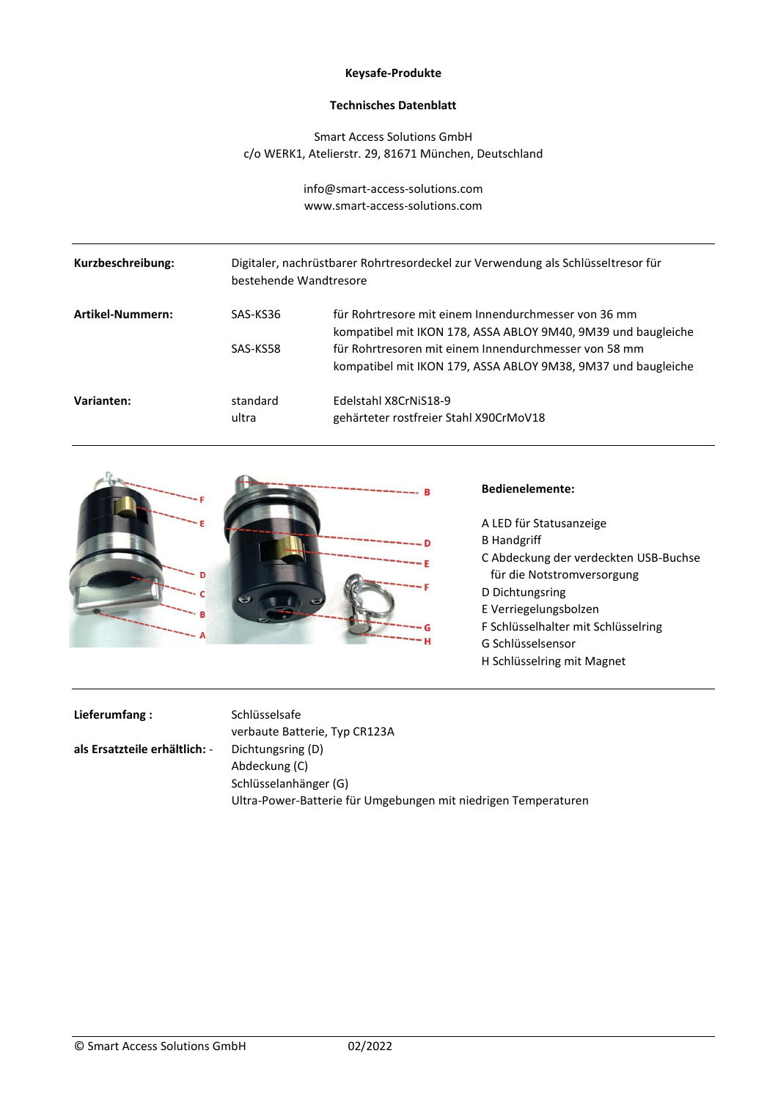### **Keysafe-Produkte**

### **Technisches Datenblatt**

Smart Access Solutions GmbH c/o WERK1, Atelierstr. 29, 81671 München, Deutschland

> info@smart-access-solutions.com www.smart-access-solutions.com

| Kurzbeschreibung: |                   | Digitaler, nachrüstbarer Rohrtresordeckel zur Verwendung als Schlüsseltresor für<br>bestehende Wandtresore             |  |
|-------------------|-------------------|------------------------------------------------------------------------------------------------------------------------|--|
| Artikel-Nummern:  | SAS-KS36          | für Rohrtresore mit einem Innendurchmesser von 36 mm<br>kompatibel mit IKON 178, ASSA ABLOY 9M40, 9M39 und baugleiche  |  |
|                   | SAS-KS58          | für Rohrtresoren mit einem Innendurchmesser von 58 mm<br>kompatibel mit IKON 179, ASSA ABLOY 9M38, 9M37 und baugleiche |  |
| Varianten:        | standard<br>ultra | Edelstahl X8CrNiS18-9<br>gehärteter rostfreier Stahl X90CrMoV18                                                        |  |



## **Bedienelemente:**

A LED für Statusanzeige B Handgriff C Abdeckung der verdeckten USB-Buchse für die Notstromversorgung D Dichtungsring E Verriegelungsbolzen F Schlüsselhalter mit Schlüsselring G Schlüsselsensor H Schlüsselring mit Magnet

**Lieferumfang :** Schlüsselsafe

**als Ersatzteile erhältlich:** - Dichtungsring (D)

verbaute Batterie, Typ CR123A Abdeckung (C) Schlüsselanhänger (G) Ultra-Power-Batterie für Umgebungen mit niedrigen Temperaturen